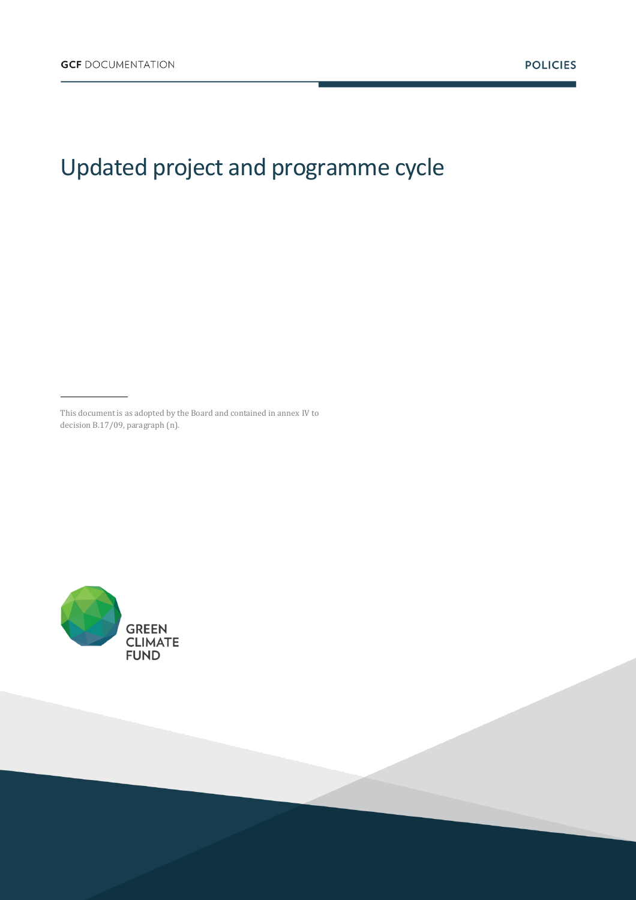## Updated project and programme cycle

This document is as adopted by the Board and contained in annex IV to decision B.17/09, paragraph (n).

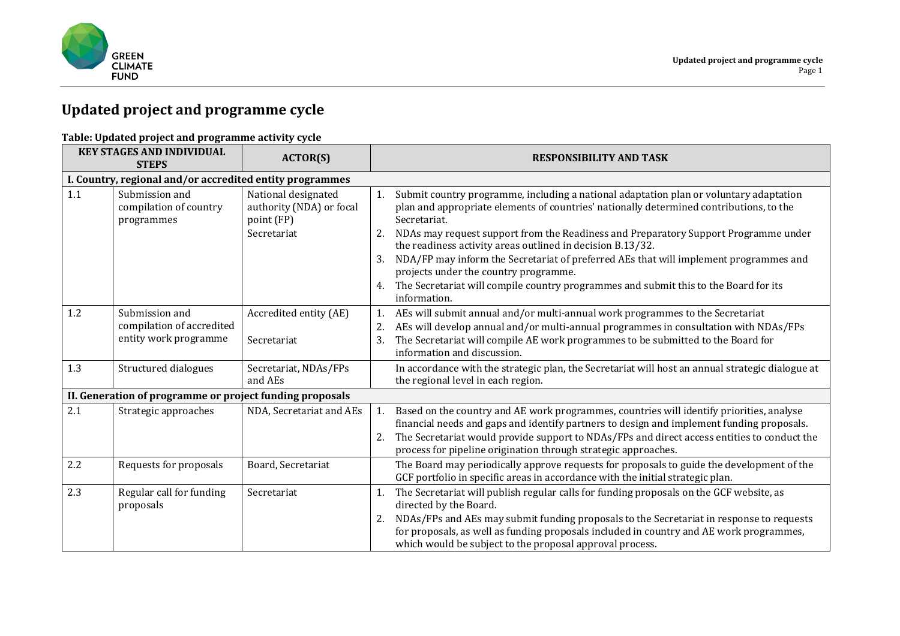

## **Updated project and programme cycle**

## **Table: Updated project and programme activity cycle**

| <b>KEY STAGES AND INDIVIDUAL</b><br><b>STEPS</b>         |                                                                      | <b>ACTOR(S)</b>                                                              | <b>RESPONSIBILITY AND TASK</b>                                                                                                                                                                                                                                                                                                                                                                                                                                                                                                                                                                                           |  |
|----------------------------------------------------------|----------------------------------------------------------------------|------------------------------------------------------------------------------|--------------------------------------------------------------------------------------------------------------------------------------------------------------------------------------------------------------------------------------------------------------------------------------------------------------------------------------------------------------------------------------------------------------------------------------------------------------------------------------------------------------------------------------------------------------------------------------------------------------------------|--|
|                                                          | I. Country, regional and/or accredited entity programmes             |                                                                              |                                                                                                                                                                                                                                                                                                                                                                                                                                                                                                                                                                                                                          |  |
| 1.1                                                      | Submission and<br>compilation of country<br>programmes               | National designated<br>authority (NDA) or focal<br>point (FP)<br>Secretariat | Submit country programme, including a national adaptation plan or voluntary adaptation<br>1.<br>plan and appropriate elements of countries' nationally determined contributions, to the<br>Secretariat.<br>NDAs may request support from the Readiness and Preparatory Support Programme under<br>2.<br>the readiness activity areas outlined in decision B.13/32.<br>NDA/FP may inform the Secretariat of preferred AEs that will implement programmes and<br>3.<br>projects under the country programme.<br>The Secretariat will compile country programmes and submit this to the Board for its<br>4.<br>information. |  |
| 1.2                                                      | Submission and<br>compilation of accredited<br>entity work programme | Accredited entity (AE)<br>Secretariat                                        | AEs will submit annual and/or multi-annual work programmes to the Secretariat<br>1.<br>AEs will develop annual and/or multi-annual programmes in consultation with NDAs/FPs<br>2.<br>The Secretariat will compile AE work programmes to be submitted to the Board for<br>3.<br>information and discussion.                                                                                                                                                                                                                                                                                                               |  |
| 1.3                                                      | Structured dialogues                                                 | Secretariat, NDAs/FPs<br>and AEs                                             | In accordance with the strategic plan, the Secretariat will host an annual strategic dialogue at<br>the regional level in each region.                                                                                                                                                                                                                                                                                                                                                                                                                                                                                   |  |
| II. Generation of programme or project funding proposals |                                                                      |                                                                              |                                                                                                                                                                                                                                                                                                                                                                                                                                                                                                                                                                                                                          |  |
| 2.1                                                      | Strategic approaches                                                 | NDA, Secretariat and AEs                                                     | Based on the country and AE work programmes, countries will identify priorities, analyse<br>1.<br>financial needs and gaps and identify partners to design and implement funding proposals.<br>The Secretariat would provide support to NDAs/FPs and direct access entities to conduct the<br>2.<br>process for pipeline origination through strategic approaches.                                                                                                                                                                                                                                                       |  |
| 2.2                                                      | Requests for proposals                                               | Board, Secretariat                                                           | The Board may periodically approve requests for proposals to guide the development of the<br>GCF portfolio in specific areas in accordance with the initial strategic plan.                                                                                                                                                                                                                                                                                                                                                                                                                                              |  |
| 2.3                                                      | Regular call for funding<br>proposals                                | Secretariat                                                                  | The Secretariat will publish regular calls for funding proposals on the GCF website, as<br>1.<br>directed by the Board.<br>NDAs/FPs and AEs may submit funding proposals to the Secretariat in response to requests<br>2.<br>for proposals, as well as funding proposals included in country and AE work programmes,<br>which would be subject to the proposal approval process.                                                                                                                                                                                                                                         |  |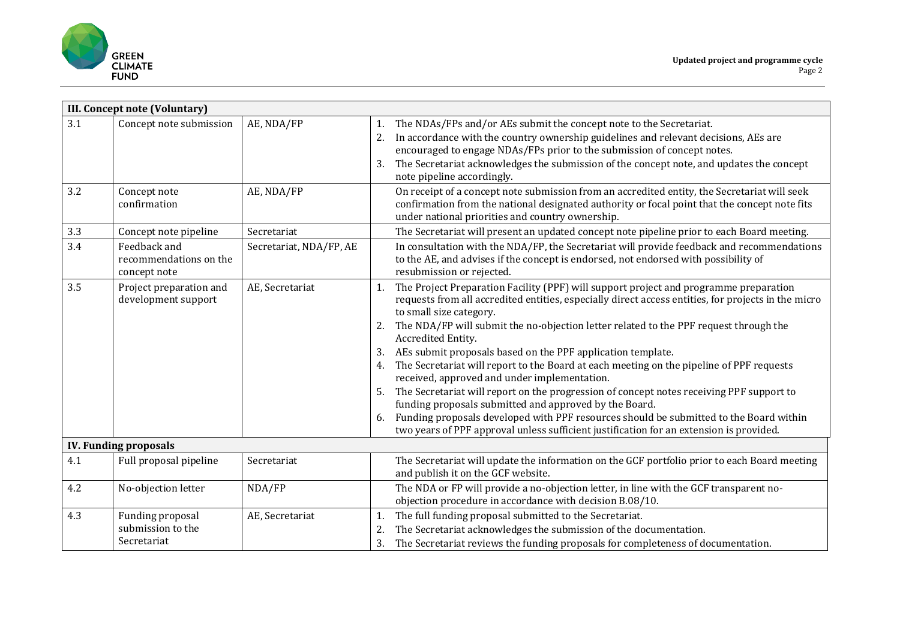

|     | <b>III. Concept note (Voluntary)</b>                   |                         |                                  |                                                                                                                                                                                                                                                                                                                                                                                                                                                                                                                                                                                                                                                                                                                                                                                                                                                                                              |  |
|-----|--------------------------------------------------------|-------------------------|----------------------------------|----------------------------------------------------------------------------------------------------------------------------------------------------------------------------------------------------------------------------------------------------------------------------------------------------------------------------------------------------------------------------------------------------------------------------------------------------------------------------------------------------------------------------------------------------------------------------------------------------------------------------------------------------------------------------------------------------------------------------------------------------------------------------------------------------------------------------------------------------------------------------------------------|--|
| 3.1 | Concept note submission                                | AE, NDA/FP              | 1.<br>2.<br>3.                   | The NDAs/FPs and/or AEs submit the concept note to the Secretariat.<br>In accordance with the country ownership guidelines and relevant decisions, AEs are<br>encouraged to engage NDAs/FPs prior to the submission of concept notes.<br>The Secretariat acknowledges the submission of the concept note, and updates the concept<br>note pipeline accordingly.                                                                                                                                                                                                                                                                                                                                                                                                                                                                                                                              |  |
| 3.2 | Concept note<br>confirmation                           | AE, NDA/FP              |                                  | On receipt of a concept note submission from an accredited entity, the Secretariat will seek<br>confirmation from the national designated authority or focal point that the concept note fits<br>under national priorities and country ownership.                                                                                                                                                                                                                                                                                                                                                                                                                                                                                                                                                                                                                                            |  |
| 3.3 | Concept note pipeline                                  | Secretariat             |                                  | The Secretariat will present an updated concept note pipeline prior to each Board meeting.                                                                                                                                                                                                                                                                                                                                                                                                                                                                                                                                                                                                                                                                                                                                                                                                   |  |
| 3.4 | Feedback and<br>recommendations on the<br>concept note | Secretariat, NDA/FP, AE |                                  | In consultation with the NDA/FP, the Secretariat will provide feedback and recommendations<br>to the AE, and advises if the concept is endorsed, not endorsed with possibility of<br>resubmission or rejected.                                                                                                                                                                                                                                                                                                                                                                                                                                                                                                                                                                                                                                                                               |  |
| 3.5 | Project preparation and<br>development support         | AE, Secretariat         | 1.<br>2.<br>3.<br>4.<br>5.<br>6. | The Project Preparation Facility (PPF) will support project and programme preparation<br>requests from all accredited entities, especially direct access entities, for projects in the micro<br>to small size category.<br>The NDA/FP will submit the no-objection letter related to the PPF request through the<br>Accredited Entity.<br>AEs submit proposals based on the PPF application template.<br>The Secretariat will report to the Board at each meeting on the pipeline of PPF requests<br>received, approved and under implementation.<br>The Secretariat will report on the progression of concept notes receiving PPF support to<br>funding proposals submitted and approved by the Board.<br>Funding proposals developed with PPF resources should be submitted to the Board within<br>two years of PPF approval unless sufficient justification for an extension is provided. |  |
|     | <b>IV. Funding proposals</b>                           |                         |                                  |                                                                                                                                                                                                                                                                                                                                                                                                                                                                                                                                                                                                                                                                                                                                                                                                                                                                                              |  |
| 4.1 | Full proposal pipeline                                 | Secretariat             |                                  | The Secretariat will update the information on the GCF portfolio prior to each Board meeting<br>and publish it on the GCF website.                                                                                                                                                                                                                                                                                                                                                                                                                                                                                                                                                                                                                                                                                                                                                           |  |
| 4.2 | No-objection letter                                    | NDA/FP                  |                                  | The NDA or FP will provide a no-objection letter, in line with the GCF transparent no-<br>objection procedure in accordance with decision B.08/10.                                                                                                                                                                                                                                                                                                                                                                                                                                                                                                                                                                                                                                                                                                                                           |  |
| 4.3 | Funding proposal<br>submission to the<br>Secretariat   | AE, Secretariat         | 1.<br>2.<br>3.                   | The full funding proposal submitted to the Secretariat.<br>The Secretariat acknowledges the submission of the documentation.<br>The Secretariat reviews the funding proposals for completeness of documentation.                                                                                                                                                                                                                                                                                                                                                                                                                                                                                                                                                                                                                                                                             |  |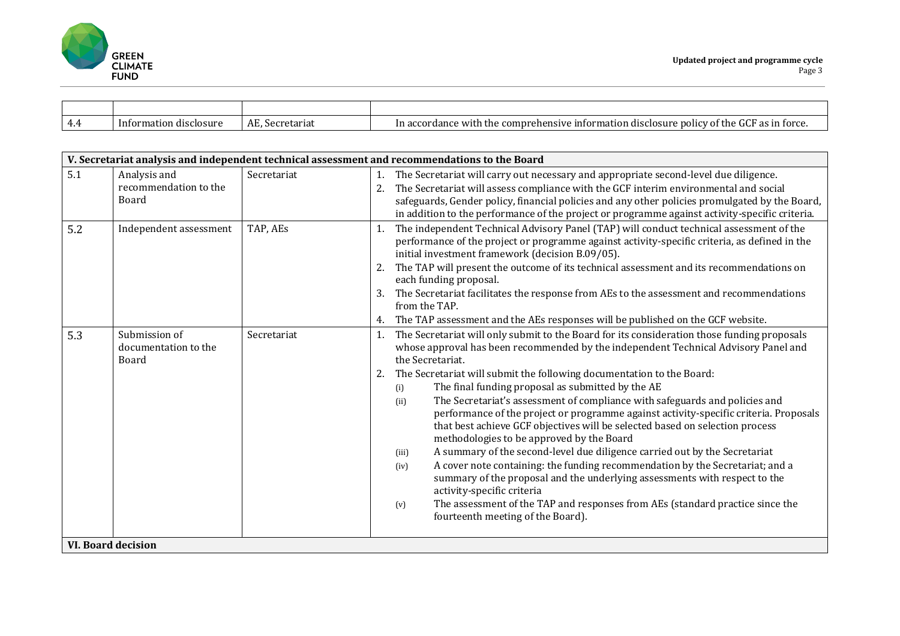

| -4.4 | Information disclosure | $\sim$<br>$\sqrt{ }$<br>Secretariat | $\alpha$<br>as in force.<br>e information disc<br>.compr<br>the<br>rehensive<br>In accordance with<br><b>OOIICV</b><br>-the<br>Ωľ<br>uosur′<br><b>UU</b> |
|------|------------------------|-------------------------------------|----------------------------------------------------------------------------------------------------------------------------------------------------------|

|     | V. Secretariat analysis and independent technical assessment and recommendations to the Board |             |                                                                                                                                                                                                                                                                                                                                                                                                                                                                                                                                                                                                                                                                                                                                                                                                                                                                                                                                                                                                                                                                                               |  |  |
|-----|-----------------------------------------------------------------------------------------------|-------------|-----------------------------------------------------------------------------------------------------------------------------------------------------------------------------------------------------------------------------------------------------------------------------------------------------------------------------------------------------------------------------------------------------------------------------------------------------------------------------------------------------------------------------------------------------------------------------------------------------------------------------------------------------------------------------------------------------------------------------------------------------------------------------------------------------------------------------------------------------------------------------------------------------------------------------------------------------------------------------------------------------------------------------------------------------------------------------------------------|--|--|
| 5.1 | Analysis and<br>recommendation to the<br>Board                                                | Secretariat | The Secretariat will carry out necessary and appropriate second-level due diligence.<br>1.<br>The Secretariat will assess compliance with the GCF interim environmental and social<br>safeguards, Gender policy, financial policies and any other policies promulgated by the Board,<br>in addition to the performance of the project or programme against activity-specific criteria.                                                                                                                                                                                                                                                                                                                                                                                                                                                                                                                                                                                                                                                                                                        |  |  |
| 5.2 | Independent assessment                                                                        | TAP, AEs    | The independent Technical Advisory Panel (TAP) will conduct technical assessment of the<br>1.<br>performance of the project or programme against activity-specific criteria, as defined in the<br>initial investment framework (decision B.09/05).<br>The TAP will present the outcome of its technical assessment and its recommendations on<br>2.<br>each funding proposal.<br>The Secretariat facilitates the response from AEs to the assessment and recommendations<br>3.<br>from the TAP.<br>The TAP assessment and the AEs responses will be published on the GCF website.<br>4.                                                                                                                                                                                                                                                                                                                                                                                                                                                                                                       |  |  |
| 5.3 | Submission of<br>documentation to the<br>Board                                                | Secretariat | The Secretariat will only submit to the Board for its consideration those funding proposals<br>1.<br>whose approval has been recommended by the independent Technical Advisory Panel and<br>the Secretariat.<br>2.<br>The Secretariat will submit the following documentation to the Board:<br>The final funding proposal as submitted by the AE<br>(i)<br>The Secretariat's assessment of compliance with safeguards and policies and<br>(ii)<br>performance of the project or programme against activity-specific criteria. Proposals<br>that best achieve GCF objectives will be selected based on selection process<br>methodologies to be approved by the Board<br>A summary of the second-level due diligence carried out by the Secretariat<br>(iii)<br>A cover note containing: the funding recommendation by the Secretariat; and a<br>(iv)<br>summary of the proposal and the underlying assessments with respect to the<br>activity-specific criteria<br>The assessment of the TAP and responses from AEs (standard practice since the<br>(v)<br>fourteenth meeting of the Board). |  |  |
|     | <b>VI. Board decision</b>                                                                     |             |                                                                                                                                                                                                                                                                                                                                                                                                                                                                                                                                                                                                                                                                                                                                                                                                                                                                                                                                                                                                                                                                                               |  |  |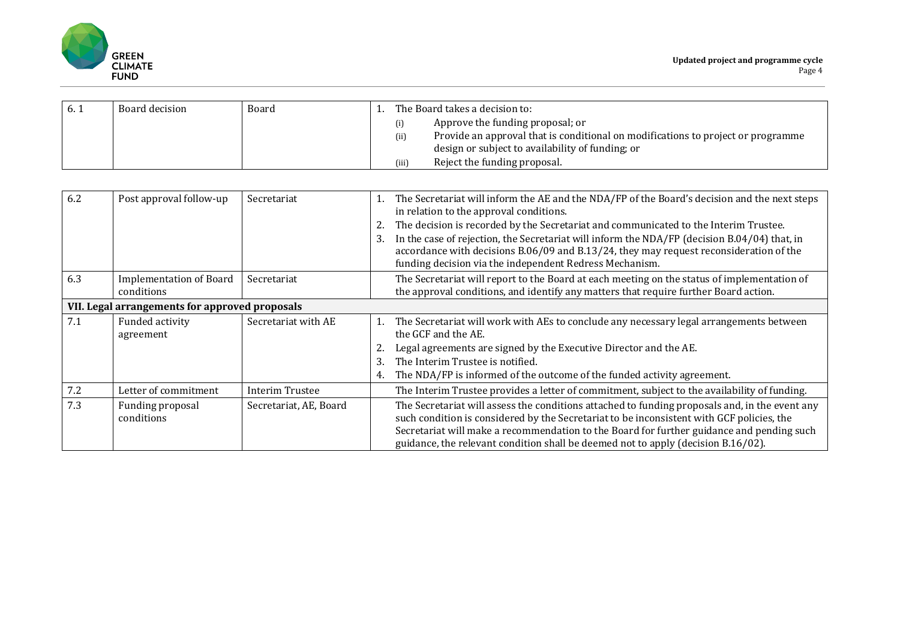

| 6.1 | Board decision | Board | The Board takes a decision to: |       |                                                                                  |
|-----|----------------|-------|--------------------------------|-------|----------------------------------------------------------------------------------|
|     |                |       |                                |       | Approve the funding proposal; or                                                 |
|     |                |       |                                | (ii)  | Provide an approval that is conditional on modifications to project or programme |
|     |                |       |                                |       | design or subject to availability of funding; or                                 |
|     |                |       |                                | (iii) | Reject the funding proposal.                                                     |

| 6.2                                            | Post approval follow-up                      | Secretariat            | 1.<br>2.<br>3. | The Secretariat will inform the AE and the NDA/FP of the Board's decision and the next steps<br>in relation to the approval conditions.<br>The decision is recorded by the Secretariat and communicated to the Interim Trustee.<br>In the case of rejection, the Secretariat will inform the NDA/FP (decision B.04/04) that, in<br>accordance with decisions B.06/09 and B.13/24, they may request reconsideration of the<br>funding decision via the independent Redress Mechanism. |
|------------------------------------------------|----------------------------------------------|------------------------|----------------|--------------------------------------------------------------------------------------------------------------------------------------------------------------------------------------------------------------------------------------------------------------------------------------------------------------------------------------------------------------------------------------------------------------------------------------------------------------------------------------|
| 6.3                                            | <b>Implementation of Board</b><br>conditions | Secretariat            |                | The Secretariat will report to the Board at each meeting on the status of implementation of<br>the approval conditions, and identify any matters that require further Board action.                                                                                                                                                                                                                                                                                                  |
| VII. Legal arrangements for approved proposals |                                              |                        |                |                                                                                                                                                                                                                                                                                                                                                                                                                                                                                      |
| 7.1                                            | Funded activity<br>agreement                 | Secretariat with AE    | 1.<br>3.<br>4. | The Secretariat will work with AEs to conclude any necessary legal arrangements between<br>the GCF and the AE.<br>Legal agreements are signed by the Executive Director and the AE.<br>The Interim Trustee is notified.<br>The NDA/FP is informed of the outcome of the funded activity agreement.                                                                                                                                                                                   |
| 7.2                                            | Letter of commitment                         | Interim Trustee        |                | The Interim Trustee provides a letter of commitment, subject to the availability of funding.                                                                                                                                                                                                                                                                                                                                                                                         |
| 7.3                                            | Funding proposal<br>conditions               | Secretariat, AE, Board |                | The Secretariat will assess the conditions attached to funding proposals and, in the event any<br>such condition is considered by the Secretariat to be inconsistent with GCF policies, the<br>Secretariat will make a recommendation to the Board for further guidance and pending such<br>guidance, the relevant condition shall be deemed not to apply (decision B.16/02).                                                                                                        |